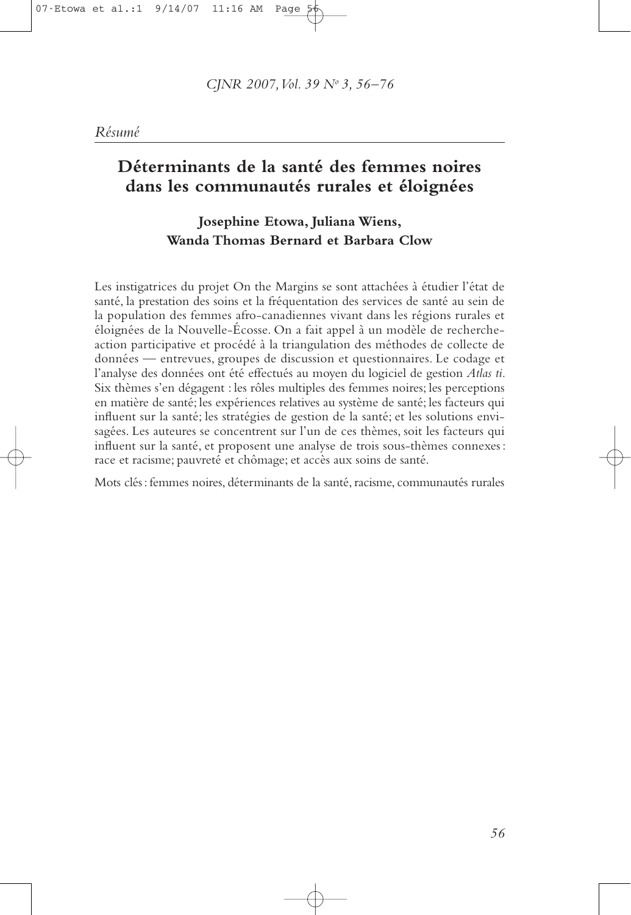# Déterminants de la santé des femmes noires dans les communautés rurales et éloignées

# Josephine Etowa, Juliana Wiens, Wanda Thomas Bernard et Barbara Clow

Les instigatrices du projet On the Margins se sont attachées à étudier l'état de santé, la prestation des soins et la fréquentation des services de santé au sein de la population des femmes afro-canadiennes vivant dans les régions rurales et éloignées de la Nouvelle-Écosse. On a fait appel à un modèle de rechercheaction participative et procédé à la triangulation des méthodes de collecte de données — entrevues, groupes de discussion et questionnaires. Le codage et l'analyse des données ont été effectués au moyen du logiciel de gestion Atlas ti. Six thèmes s'en dégagent : les rôles multiples des femmes noires; les perceptions en matière de santé; les expériences relatives au système de santé; les facteurs qui influent sur la santé; les stratégies de gestion de la santé; et les solutions envisagées. Les auteures se concentrent sur l'un de ces thèmes, soit les facteurs qui influent sur la santé, et proposent une analyse de trois sous-thèmes connexes : race et racisme; pauvreté et chômage; et accès aux soins de santé.

Mots clés : femmes noires, déterminants de la santé, racisme, communautés rurales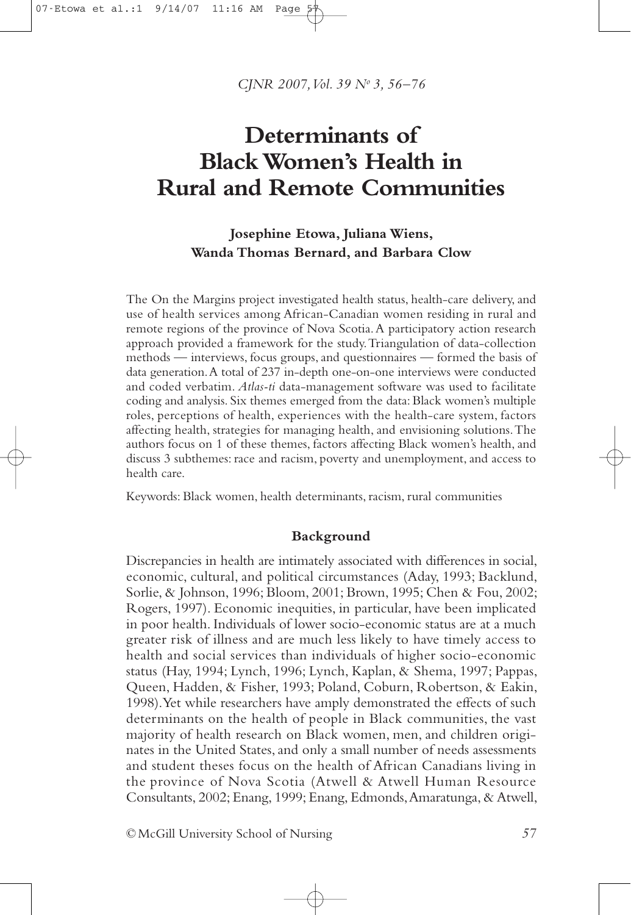CINR 2007, Vol. 39 Nº 3, 56-76

# Determinants of **Black Women's Health in Rural and Remote Communities**

# Josephine Etowa, Juliana Wiens, Wanda Thomas Bernard, and Barbara Clow

The On the Margins project investigated health status, health-care delivery, and use of health services among African-Canadian women residing in rural and remote regions of the province of Nova Scotia. A participatory action research approach provided a framework for the study. Triangulation of data-collection methods — interviews, focus groups, and questionnaires — formed the basis of data generation. A total of 237 in-depth one-on-one interviews were conducted and coded verbatim. Atlas-ti data-management software was used to facilitate coding and analysis. Six themes emerged from the data: Black women's multiple roles, perceptions of health, experiences with the health-care system, factors affecting health, strategies for managing health, and envisioning solutions. The authors focus on 1 of these themes, factors affecting Black women's health, and discuss 3 subthemes: race and racism, poverty and unemployment, and access to health care.

Keywords: Black women, health determinants, racism, rural communities

#### Background

Discrepancies in health are intimately associated with differences in social, economic, cultural, and political circumstances (Aday, 1993; Backlund, Sorlie, & Johnson, 1996; Bloom, 2001; Brown, 1995; Chen & Fou, 2002; Rogers, 1997). Economic inequities, in particular, have been implicated in poor health. Individuals of lower socio-economic status are at a much greater risk of illness and are much less likely to have timely access to health and social services than individuals of higher socio-economic status (Hay, 1994; Lynch, 1996; Lynch, Kaplan, & Shema, 1997; Pappas, Queen, Hadden, & Fisher, 1993; Poland, Coburn, Robertson, & Eakin, 1998). Yet while researchers have amply demonstrated the effects of such determinants on the health of people in Black communities, the vast majority of health research on Black women, men, and children originates in the United States, and only a small number of needs assessments and student theses focus on the health of African Canadians living in the province of Nova Scotia (Atwell & Atwell Human Resource Consultants, 2002; Enang, 1999; Enang, Edmonds, Amaratunga, & Atwell,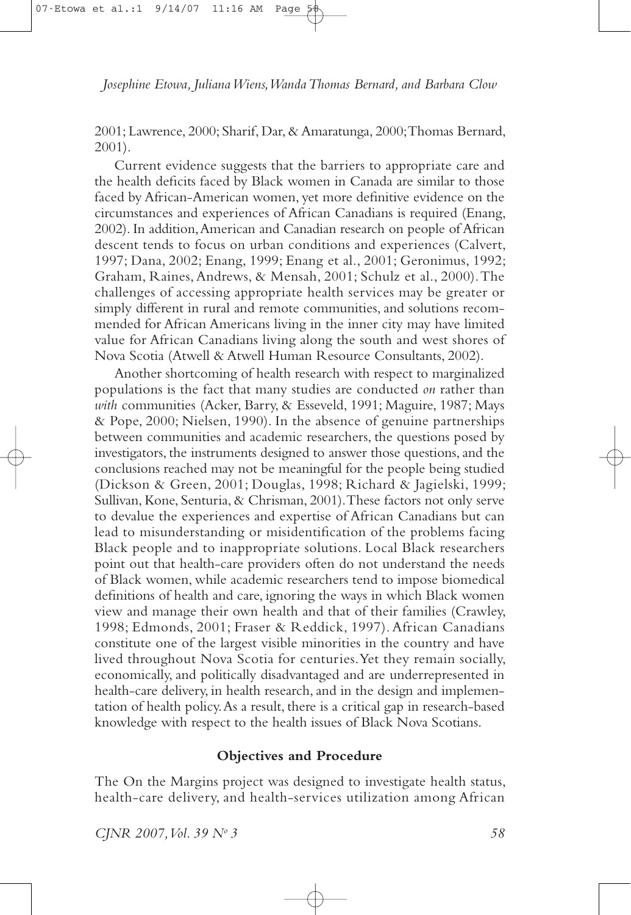2001; Lawrence, 2000; Sharif, Dar, & Amaratunga, 2000; Thomas Bernard,  $2001$ ).

Current evidence suggests that the barriers to appropriate care and the health deficits faced by Black women in Canada are similar to those faced by African-American women, yet more definitive evidence on the circumstances and experiences of African Canadians is required (Enang, 2002). In addition, American and Canadian research on people of African descent tends to focus on urban conditions and experiences (Calvert, 1997; Dana, 2002; Enang, 1999; Enang et al., 2001; Geronimus, 1992; Graham, Raines, Andrews, & Mensah, 2001; Schulz et al., 2000). The challenges of accessing appropriate health services may be greater or simply different in rural and remote communities, and solutions recommended for African Americans living in the inner city may have limited value for African Canadians living along the south and west shores of Nova Scotia (Atwell & Atwell Human Resource Consultants, 2002).

Another shortcoming of health research with respect to marginalized populations is the fact that many studies are conducted *on* rather than with communities (Acker, Barry, & Esseveld, 1991; Maguire, 1987; Mays & Pope, 2000; Nielsen, 1990). In the absence of genuine partnerships between communities and academic researchers, the questions posed by investigators, the instruments designed to answer those questions, and the conclusions reached may not be meaningful for the people being studied (Dickson & Green, 2001; Douglas, 1998; Richard & Jagielski, 1999; Sullivan, Kone, Senturia, & Chrisman, 2001). These factors not only serve to devalue the experiences and expertise of African Canadians but can lead to misunderstanding or misidentification of the problems facing Black people and to inappropriate solutions. Local Black researchers point out that health-care providers often do not understand the needs of Black women, while academic researchers tend to impose biomedical definitions of health and care, ignoring the ways in which Black women view and manage their own health and that of their families (Crawley, 1998; Edmonds, 2001; Fraser & Reddick, 1997). African Canadians constitute one of the largest visible minorities in the country and have lived throughout Nova Scotia for centuries. Yet they remain socially, economically, and politically disadvantaged and are underrepresented in health-care delivery, in health research, and in the design and implementation of health policy. As a result, there is a critical gap in research-based knowledge with respect to the health issues of Black Nova Scotians.

## **Objectives and Procedure**

The On the Margins project was designed to investigate health status, health-care delivery, and health-services utilization among African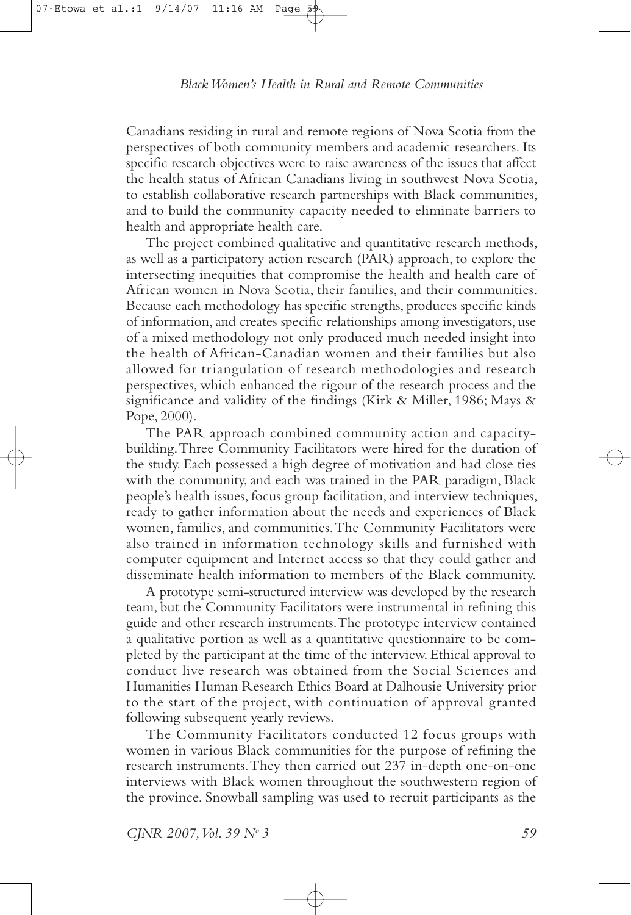Canadians residing in rural and remote regions of Nova Scotia from the perspectives of both community members and academic researchers. Its specific research objectives were to raise awareness of the issues that affect the health status of African Canadians living in southwest Nova Scotia, to establish collaborative research partnerships with Black communities, and to build the community capacity needed to eliminate barriers to health and appropriate health care.

The project combined qualitative and quantitative research methods, as well as a participatory action research (PAR) approach, to explore the intersecting inequities that compromise the health and health care of African women in Nova Scotia, their families, and their communities. Because each methodology has specific strengths, produces specific kinds of information, and creates specific relationships among investigators, use of a mixed methodology not only produced much needed insight into the health of African-Canadian women and their families but also allowed for triangulation of research methodologies and research perspectives, which enhanced the rigour of the research process and the significance and validity of the findings (Kirk & Miller, 1986; Mays & Pope, 2000).

The PAR approach combined community action and capacitybuilding. Three Community Facilitators were hired for the duration of the study. Each possessed a high degree of motivation and had close ties with the community, and each was trained in the PAR paradigm, Black people's health issues, focus group facilitation, and interview techniques, ready to gather information about the needs and experiences of Black women, families, and communities. The Community Facilitators were also trained in information technology skills and furnished with computer equipment and Internet access so that they could gather and disseminate health information to members of the Black community.

A prototype semi-structured interview was developed by the research team, but the Community Facilitators were instrumental in refining this guide and other research instruments. The prototype interview contained a qualitative portion as well as a quantitative questionnaire to be completed by the participant at the time of the interview. Ethical approval to conduct live research was obtained from the Social Sciences and Humanities Human Research Ethics Board at Dalhousie University prior to the start of the project, with continuation of approval granted following subsequent yearly reviews.

The Community Facilitators conducted 12 focus groups with women in various Black communities for the purpose of refining the research instruments. They then carried out 237 in-depth one-on-one interviews with Black women throughout the southwestern region of the province. Snowball sampling was used to recruit participants as the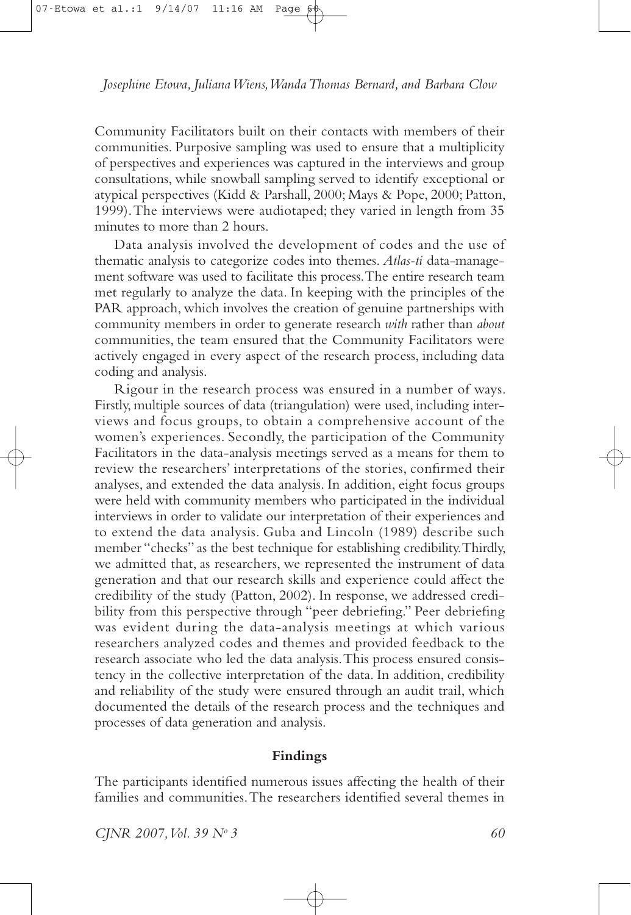Community Facilitators built on their contacts with members of their communities. Purposive sampling was used to ensure that a multiplicity of perspectives and experiences was captured in the interviews and group consultations, while snowball sampling served to identify exceptional or atypical perspectives (Kidd & Parshall, 2000; Mays & Pope, 2000; Patton, 1999). The interviews were audiotaped; they varied in length from 35 minutes to more than 2 hours.

Data analysis involved the development of codes and the use of thematic analysis to categorize codes into themes. Atlas-ti data-management software was used to facilitate this process. The entire research team met regularly to analyze the data. In keeping with the principles of the PAR approach, which involves the creation of genuine partnerships with community members in order to generate research with rather than about communities, the team ensured that the Community Facilitators were actively engaged in every aspect of the research process, including data coding and analysis.

Rigour in the research process was ensured in a number of ways. Firstly, multiple sources of data (triangulation) were used, including interviews and focus groups, to obtain a comprehensive account of the women's experiences. Secondly, the participation of the Community Facilitators in the data-analysis meetings served as a means for them to review the researchers' interpretations of the stories, confirmed their analyses, and extended the data analysis. In addition, eight focus groups were held with community members who participated in the individual interviews in order to validate our interpretation of their experiences and to extend the data analysis. Guba and Lincoln (1989) describe such member "checks" as the best technique for establishing credibility. Thirdly, we admitted that, as researchers, we represented the instrument of data generation and that our research skills and experience could affect the credibility of the study (Patton, 2002). In response, we addressed credibility from this perspective through "peer debriefing." Peer debriefing was evident during the data-analysis meetings at which various researchers analyzed codes and themes and provided feedback to the research associate who led the data analysis. This process ensured consistency in the collective interpretation of the data. In addition, credibility and reliability of the study were ensured through an audit trail, which documented the details of the research process and the techniques and processes of data generation and analysis.

#### Findings

The participants identified numerous issues affecting the health of their families and communities. The researchers identified several themes in

CJNR 2007, Vol. 39 Nº 3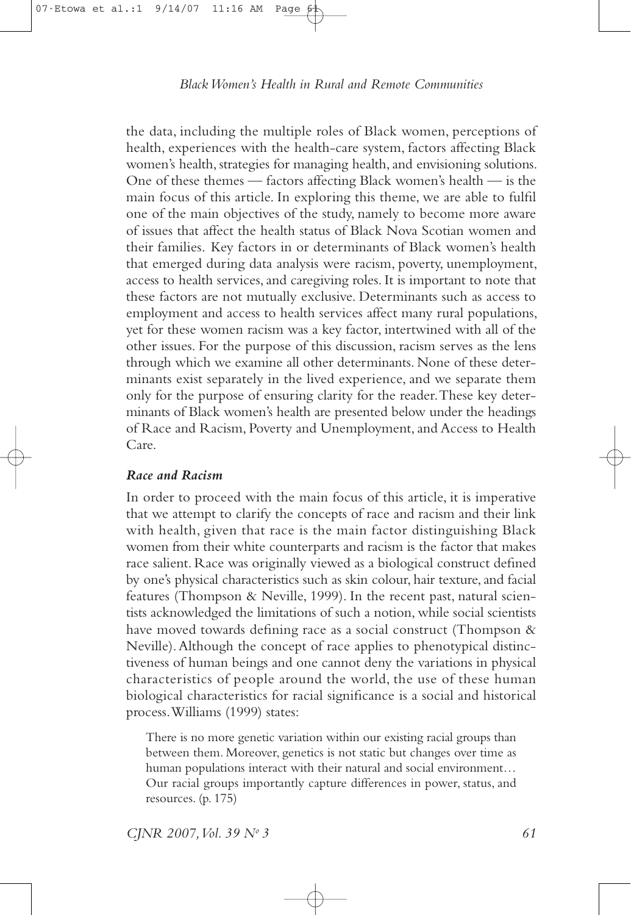the data, including the multiple roles of Black women, perceptions of health, experiences with the health-care system, factors affecting Black women's health, strategies for managing health, and envisioning solutions. One of these themes — factors affecting Black women's health — is the main focus of this article. In exploring this theme, we are able to fulfil one of the main objectives of the study, namely to become more aware of issues that affect the health status of Black Nova Scotian women and their families. Key factors in or determinants of Black women's health that emerged during data analysis were racism, poverty, unemployment, access to health services, and caregiving roles. It is important to note that these factors are not mutually exclusive. Determinants such as access to employment and access to health services affect many rural populations, yet for these women racism was a key factor, intertwined with all of the other issues. For the purpose of this discussion, racism serves as the lens through which we examine all other determinants. None of these determinants exist separately in the lived experience, and we separate them only for the purpose of ensuring clarity for the reader. These key determinants of Black women's health are presented below under the headings of Race and Racism, Poverty and Unemployment, and Access to Health  $Care$ 

## **Race and Racism**

In order to proceed with the main focus of this article, it is imperative that we attempt to clarify the concepts of race and racism and their link with health, given that race is the main factor distinguishing Black women from their white counterparts and racism is the factor that makes race salient. Race was originally viewed as a biological construct defined by one's physical characteristics such as skin colour, hair texture, and facial features (Thompson & Neville, 1999). In the recent past, natural scientists acknowledged the limitations of such a notion, while social scientists have moved towards defining race as a social construct (Thompson & Neville). Although the concept of race applies to phenotypical distinctiveness of human beings and one cannot deny the variations in physical characteristics of people around the world, the use of these human biological characteristics for racial significance is a social and historical process. Williams (1999) states:

There is no more genetic variation within our existing racial groups than between them. Moreover, genetics is not static but changes over time as human populations interact with their natural and social environment... Our racial groups importantly capture differences in power, status, and resources.  $(p. 175)$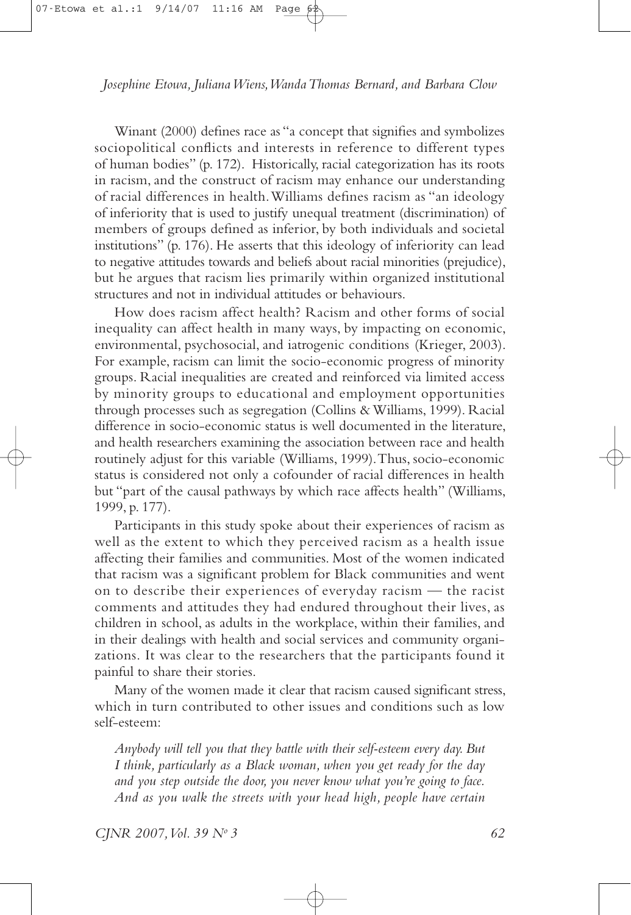Winant (2000) defines race as "a concept that signifies and symbolizes sociopolitical conflicts and interests in reference to different types of human bodies" (p. 172). Historically, racial categorization has its roots in racism, and the construct of racism may enhance our understanding of racial differences in health. Williams defines racism as "an ideology of inferiority that is used to justify unequal treatment (discrimination) of members of groups defined as inferior, by both individuals and societal institutions" (p. 176). He asserts that this ideology of inferiority can lead to negative attitudes towards and beliefs about racial minorities (prejudice), but he argues that racism lies primarily within organized institutional structures and not in individual attitudes or behaviours.

How does racism affect health? Racism and other forms of social inequality can affect health in many ways, by impacting on economic, environmental, psychosocial, and iatrogenic conditions (Krieger, 2003). For example, racism can limit the socio-economic progress of minority groups. Racial inequalities are created and reinforced via limited access by minority groups to educational and employment opportunities through processes such as segregation (Collins & Williams, 1999). Racial difference in socio-economic status is well documented in the literature, and health researchers examining the association between race and health routinely adjust for this variable (Williams, 1999). Thus, socio-economic status is considered not only a cofounder of racial differences in health but "part of the causal pathways by which race affects health" (Williams, 1999, p. 177).

Participants in this study spoke about their experiences of racism as well as the extent to which they perceived racism as a health issue affecting their families and communities. Most of the women indicated that racism was a significant problem for Black communities and went on to describe their experiences of everyday racism - the racist comments and attitudes they had endured throughout their lives, as children in school, as adults in the workplace, within their families, and in their dealings with health and social services and community organizations. It was clear to the researchers that the participants found it painful to share their stories.

Many of the women made it clear that racism caused significant stress, which in turn contributed to other issues and conditions such as low self-esteem:

Anybody will tell you that they battle with their self-esteem every day. But I think, particularly as a Black woman, when you get ready for the day and you step outside the door, you never know what you're going to face. And as you walk the streets with your head high, people have certain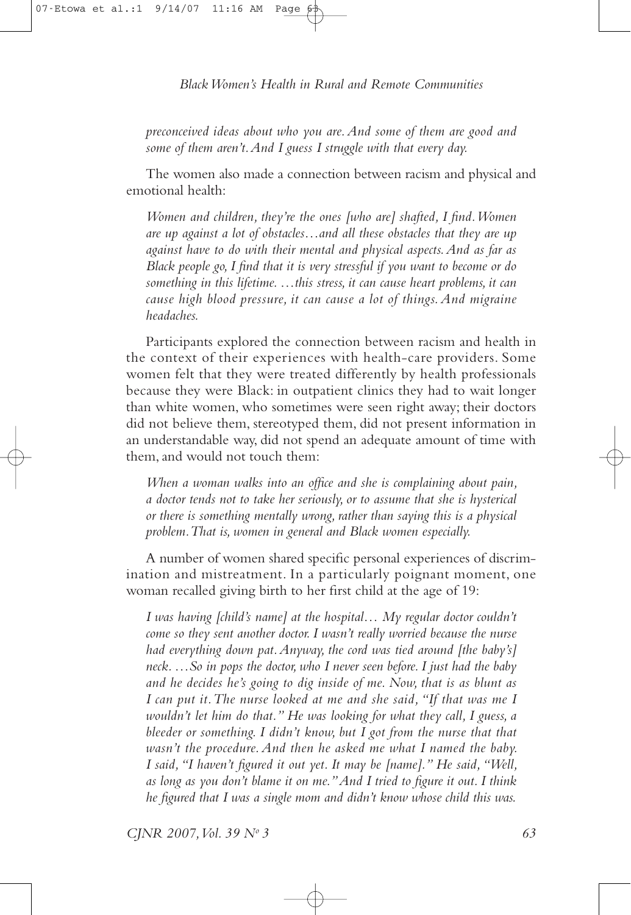preconceived ideas about who you are. And some of them are good and some of them aren't. And I guess I struggle with that every day.

The women also made a connection between racism and physical and emotional health:

Women and children, they're the ones [who are] shafted, I find. Women are up against a lot of obstacles...and all these obstacles that they are up against have to do with their mental and physical aspects. And as far as Black people go, I find that it is very stressful if you want to become or do something in this lifetime....this stress, it can cause heart problems, it can cause high blood pressure, it can cause a lot of things. And migraine headaches.

Participants explored the connection between racism and health in the context of their experiences with health-care providers. Some women felt that they were treated differently by health professionals because they were Black: in outpatient clinics they had to wait longer than white women, who sometimes were seen right away; their doctors did not believe them, stereotyped them, did not present information in an understandable way, did not spend an adequate amount of time with them, and would not touch them:

When a woman walks into an office and she is complaining about pain, a doctor tends not to take her seriously, or to assume that she is hysterical or there is something mentally wrong, rather than saying this is a physical problem. That is, women in general and Black women especially.

A number of women shared specific personal experiences of discrimination and mistreatment. In a particularly poignant moment, one woman recalled giving birth to her first child at the age of 19:

I was having [child's name] at the hospital... My regular doctor couldn't come so they sent another doctor. I wasn't really worried because the nurse had everything down pat. Anyway, the cord was tied around [the baby's] neck....So in pops the doctor, who I never seen before. I just had the baby and he decides he's going to dig inside of me. Now, that is as blunt as I can put it. The nurse looked at me and she said, "If that was me I wouldn't let him do that." He was looking for what they call, I guess, a bleeder or something. I didn't know, but I got from the nurse that that wasn't the procedure. And then he asked me what I named the baby. I said, "I haven't figured it out yet. It may be [name]." He said, "Well, as long as you don't blame it on me." And I tried to figure it out. I think he figured that I was a single mom and didn't know whose child this was.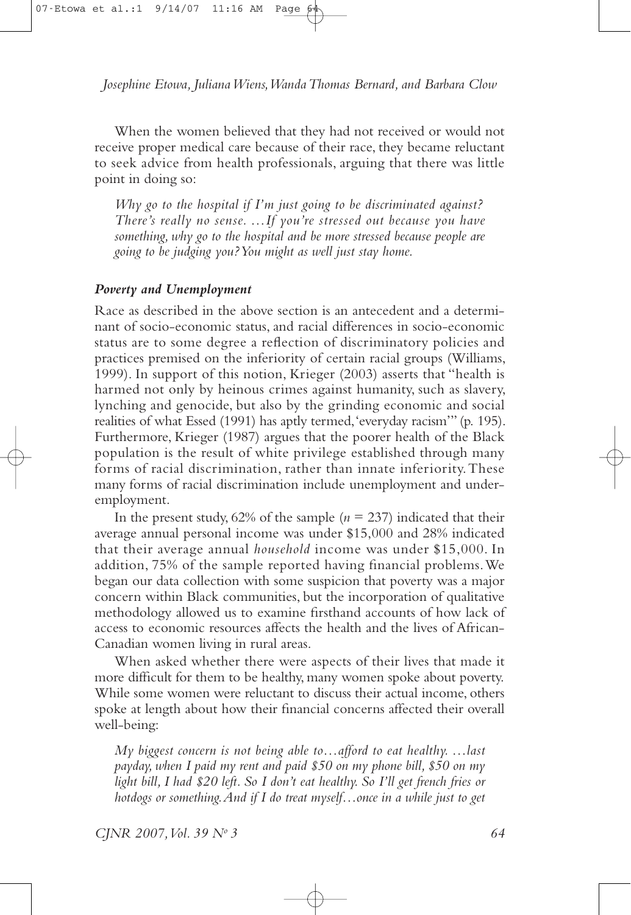When the women believed that they had not received or would not receive proper medical care because of their race, they became reluctant to seek advice from health professionals, arguing that there was little point in doing so:

Why go to the hospital if I'm just going to be discriminated against? There's really no sense. ... If you're stressed out because you have something, why go to the hospital and be more stressed because people are going to be judging you? You might as well just stay home.

## Poverty and Unemployment

Race as described in the above section is an antecedent and a determinant of socio-economic status, and racial differences in socio-economic status are to some degree a reflection of discriminatory policies and practices premised on the inferiority of certain racial groups (Williams, 1999). In support of this notion, Krieger (2003) asserts that "health is harmed not only by heinous crimes against humanity, such as slavery, lynching and genocide, but also by the grinding economic and social realities of what Essed (1991) has aptly termed, 'everyday racism'" (p. 195). Furthermore, Krieger (1987) argues that the poorer health of the Black population is the result of white privilege established through many forms of racial discrimination, rather than innate inferiority. These many forms of racial discrimination include unemployment and underemployment.

In the present study, 62% of the sample ( $n = 237$ ) indicated that their average annual personal income was under \$15,000 and 28% indicated that their average annual household income was under \$15,000. In addition, 75% of the sample reported having financial problems. We began our data collection with some suspicion that poverty was a major concern within Black communities, but the incorporation of qualitative methodology allowed us to examine firsthand accounts of how lack of access to economic resources affects the health and the lives of African-Canadian women living in rural areas.

When asked whether there were aspects of their lives that made it more difficult for them to be healthy, many women spoke about poverty. While some women were reluctant to discuss their actual income, others spoke at length about how their financial concerns affected their overall well-being:

My biggest concern is not being able to... afford to eat healthy....last payday, when I paid my rent and paid \$50 on my phone bill, \$50 on my light bill, I had \$20 left. So I don't eat healthy. So I'll get french fries or hotdogs or something. And if I do treat myself...once in a while just to get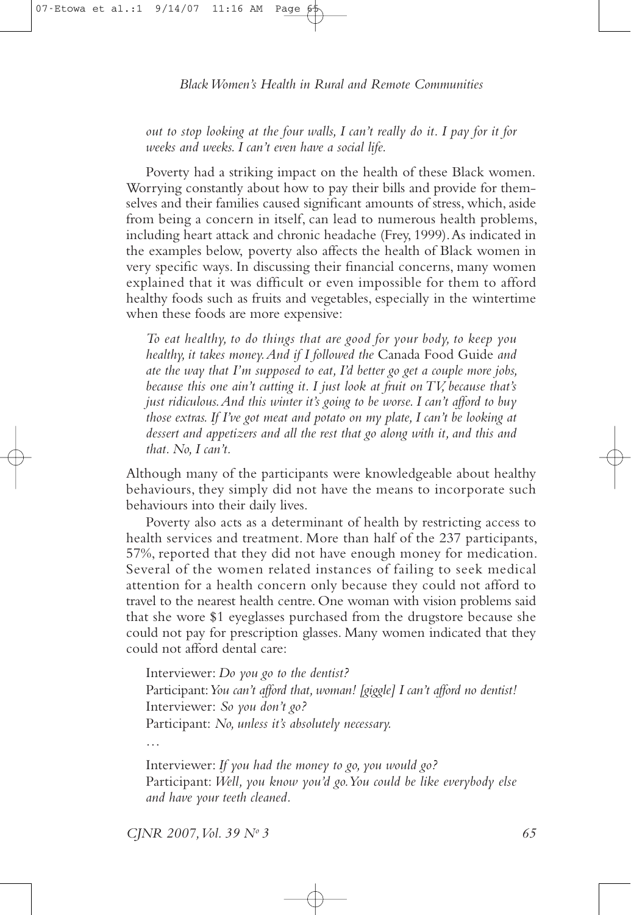out to stop looking at the four walls, I can't really do it. I pay for it for weeks and weeks. I can't even have a social life.

Poverty had a striking impact on the health of these Black women. Worrying constantly about how to pay their bills and provide for themselves and their families caused significant amounts of stress, which, aside from being a concern in itself, can lead to numerous health problems, including heart attack and chronic headache (Frey, 1999). As indicated in the examples below, poverty also affects the health of Black women in very specific ways. In discussing their financial concerns, many women explained that it was difficult or even impossible for them to afford healthy foods such as fruits and vegetables, especially in the wintertime when these foods are more expensive:

To eat healthy, to do things that are good for your body, to keep you healthy, it takes money. And if I followed the Canada Food Guide and ate the way that I'm supposed to eat, I'd better go get a couple more jobs, because this one ain't cutting it. I just look at fruit on  $TV$ , because that's just ridiculous. And this winter it's going to be worse. I can't afford to buy those extras. If I've got meat and potato on my plate, I can't be looking at dessert and appetizers and all the rest that go along with it, and this and that. No, I can't.

Although many of the participants were knowledgeable about healthy behaviours, they simply did not have the means to incorporate such behaviours into their daily lives.

Poverty also acts as a determinant of health by restricting access to health services and treatment. More than half of the 237 participants, 57%, reported that they did not have enough money for medication. Several of the women related instances of failing to seek medical attention for a health concern only because they could not afford to travel to the nearest health centre. One woman with vision problems said that she wore \$1 eyeglasses purchased from the drugstore because she could not pay for prescription glasses. Many women indicated that they could not afford dental care:

Interviewer: Do you go to the dentist? Participant: You can't afford that, woman! [giggle] I can't afford no dentist! Interviewer: So you don't go? Participant: No, unless it's absolutely necessary.

Interviewer: If you had the money to go, you would go? Participant: Well, you know you'd go. You could be like everybody else and have your teeth cleaned.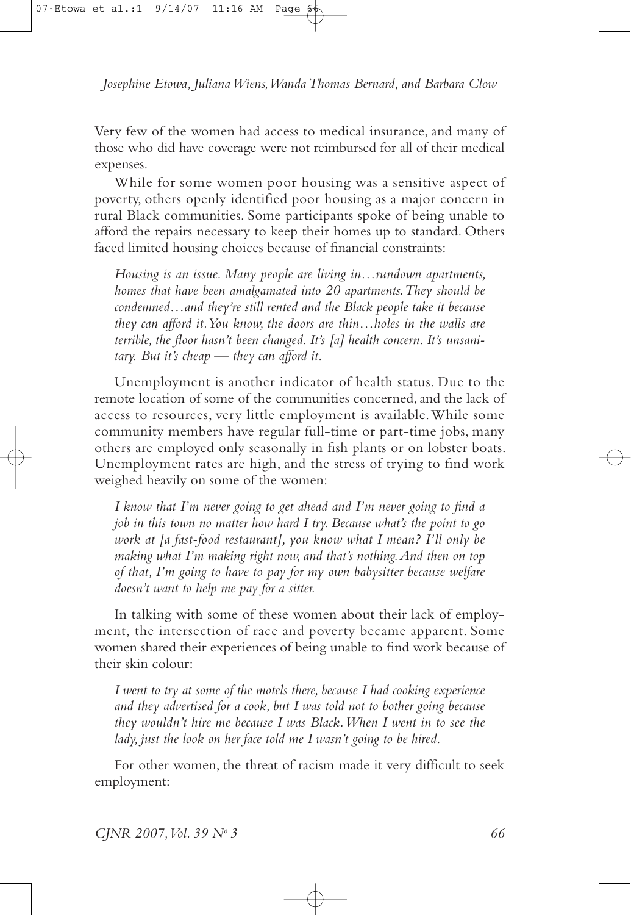Very few of the women had access to medical insurance, and many of those who did have coverage were not reimbursed for all of their medical expenses.

While for some women poor housing was a sensitive aspect of poverty, others openly identified poor housing as a major concern in rural Black communities. Some participants spoke of being unable to afford the repairs necessary to keep their homes up to standard. Others faced limited housing choices because of financial constraints:

Housing is an issue. Many people are living in...rundown apartments, homes that have been amalgamated into 20 apartments. They should be condemned...and they're still rented and the Black people take it because they can afford it. You know, the doors are thin...holes in the walls are terrible, the floor hasn't been changed. It's [a] health concern. It's unsanitary. But it's cheap  $-$  they can afford it.

Unemployment is another indicator of health status. Due to the remote location of some of the communities concerned, and the lack of access to resources, very little employment is available. While some community members have regular full-time or part-time jobs, many others are employed only seasonally in fish plants or on lobster boats. Unemployment rates are high, and the stress of trying to find work weighed heavily on some of the women:

I know that I'm never going to get ahead and I'm never going to find a job in this town no matter how hard I try. Because what's the point to go work at *Ja fast-food restaurant*], you know what I mean? I'll only be making what I'm making right now, and that's nothing. And then on top of that, I'm going to have to pay for my own babysitter because welfare doesn't want to help me pay for a sitter.

In talking with some of these women about their lack of employment, the intersection of race and poverty became apparent. Some women shared their experiences of being unable to find work because of their skin colour:

I went to try at some of the motels there, because I had cooking experience and they advertised for a cook, but I was told not to bother going because they wouldn't hire me because I was Black. When I went in to see the lady, just the look on her face told me I wasn't going to be hired.

For other women, the threat of racism made it very difficult to seek employment: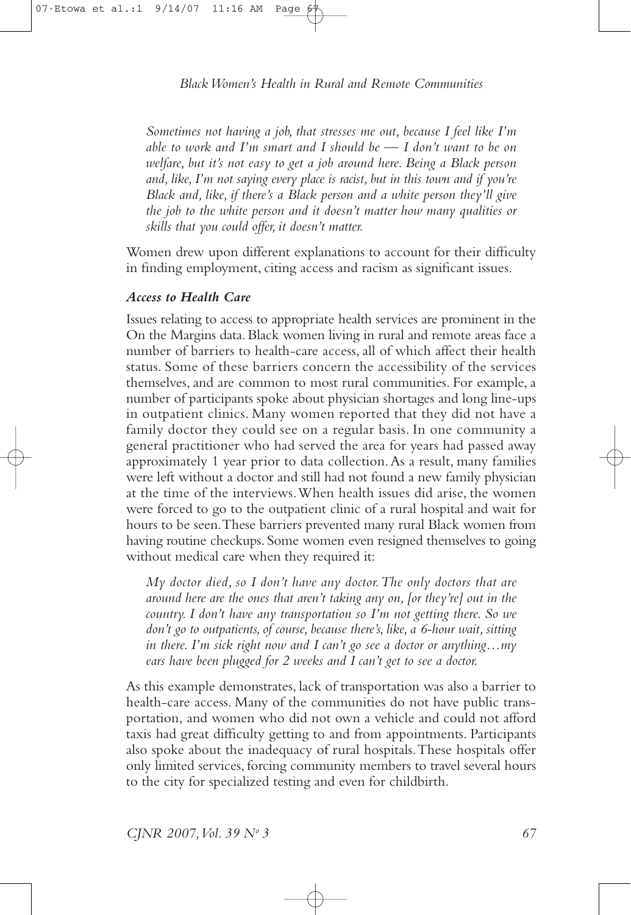Sometimes not having a job, that stresses me out, because I feel like I'm able to work and I'm smart and I should be  $-$  I don't want to be on welfare, but it's not easy to get a job around here. Being a Black person and, like, I'm not saying every place is racist, but in this town and if you're Black and, like, if there's a Black person and a white person they'll give the job to the white person and it doesn't matter how many qualities or skills that you could offer, it doesn't matter.

Women drew upon different explanations to account for their difficulty in finding employment, citing access and racism as significant issues.

## **Access to Health Care**

Issues relating to access to appropriate health services are prominent in the On the Margins data. Black women living in rural and remote areas face a number of barriers to health-care access, all of which affect their health status. Some of these barriers concern the accessibility of the services themselves, and are common to most rural communities. For example, a number of participants spoke about physician shortages and long line-ups in outpatient clinics. Many women reported that they did not have a family doctor they could see on a regular basis. In one community a general practitioner who had served the area for years had passed away approximately 1 year prior to data collection. As a result, many families were left without a doctor and still had not found a new family physician at the time of the interviews. When health issues did arise, the women were forced to go to the outpatient clinic of a rural hospital and wait for hours to be seen. These barriers prevented many rural Black women from having routine checkups. Some women even resigned themselves to going without medical care when they required it:

My doctor died, so I don't have any doctor. The only doctors that are around here are the ones that aren't taking any on, for they're] out in the country. I don't have any transportation so I'm not getting there. So we don't go to outpatients, of course, because there's, like, a 6-hour wait, sitting in there. I'm sick right now and I can't go see a doctor or anything...my ears have been plugged for 2 weeks and  $\overline{I}$  can't get to see a doctor.

As this example demonstrates, lack of transportation was also a barrier to health-care access. Many of the communities do not have public transportation, and women who did not own a vehicle and could not afford taxis had great difficulty getting to and from appointments. Participants also spoke about the inadequacy of rural hospitals. These hospitals offer only limited services, forcing community members to travel several hours to the city for specialized testing and even for childbirth.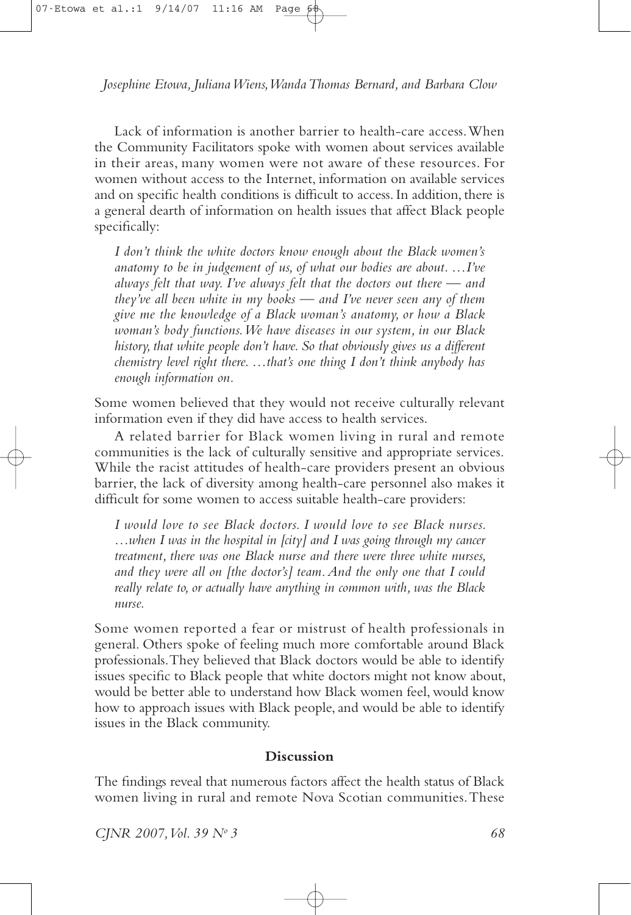Lack of information is another barrier to health-care access. When the Community Facilitators spoke with women about services available in their areas, many women were not aware of these resources. For women without access to the Internet, information on available services and on specific health conditions is difficult to access. In addition, there is a general dearth of information on health issues that affect Black people specifically:

I don't think the white doctors know enough about the Black women's anatomy to be in judgement of us, of what our bodies are about.  $\ldots I$  ve always felt that way. I've always felt that the doctors out there  $\rightharpoonup$  and they've all been white in my books  $\frac{1}{x}$  and I've never seen any of them give me the knowledge of a Black woman's anatomy, or how a Black woman's body functions. We have diseases in our system, in our Black history, that white people don't have. So that obviously gives us a different chemistry level right there.  $\ldots$ that's one thing I don't think anybody has enough information on.

Some women believed that they would not receive culturally relevant information even if they did have access to health services.

A related barrier for Black women living in rural and remote communities is the lack of culturally sensitive and appropriate services. While the racist attitudes of health-care providers present an obvious barrier, the lack of diversity among health-care personnel also makes it difficult for some women to access suitable health-care providers:

I would love to see Black doctors. I would love to see Black nurses. ...when I was in the hospital in [city] and I was going through my cancer treatment, there was one Black nurse and there were three white nurses, and they were all on [the doctor's] team. And the only one that I could really relate to, or actually have anything in common with, was the Black nurse.

Some women reported a fear or mistrust of health professionals in general. Others spoke of feeling much more comfortable around Black professionals. They believed that Black doctors would be able to identify issues specific to Black people that white doctors might not know about, would be better able to understand how Black women feel, would know how to approach issues with Black people, and would be able to identify issues in the Black community.

## **Discussion**

The findings reveal that numerous factors affect the health status of Black women living in rural and remote Nova Scotian communities. These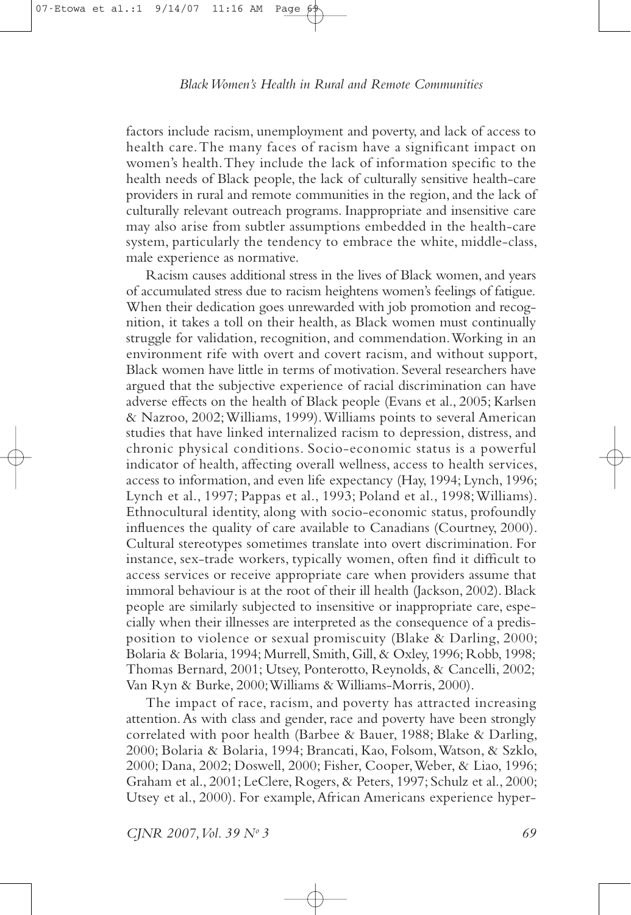factors include racism, unemployment and poverty, and lack of access to health care. The many faces of racism have a significant impact on women's health. They include the lack of information specific to the health needs of Black people, the lack of culturally sensitive health-care providers in rural and remote communities in the region, and the lack of culturally relevant outreach programs. Inappropriate and insensitive care may also arise from subtler assumptions embedded in the health-care system, particularly the tendency to embrace the white, middle-class, male experience as normative.

Racism causes additional stress in the lives of Black women, and years of accumulated stress due to racism heightens women's feelings of fatigue. When their dedication goes unrewarded with job promotion and recognition, it takes a toll on their health, as Black women must continually struggle for validation, recognition, and commendation. Working in an environment rife with overt and covert racism, and without support, Black women have little in terms of motivation. Several researchers have argued that the subjective experience of racial discrimination can have adverse effects on the health of Black people (Evans et al., 2005; Karlsen & Nazroo, 2002; Williams, 1999). Williams points to several American studies that have linked internalized racism to depression, distress, and chronic physical conditions. Socio-economic status is a powerful indicator of health, affecting overall wellness, access to health services, access to information, and even life expectancy (Hay, 1994; Lynch, 1996; Lynch et al., 1997; Pappas et al., 1993; Poland et al., 1998; Williams). Ethnocultural identity, along with socio-economic status, profoundly influences the quality of care available to Canadians (Courtney, 2000). Cultural stereotypes sometimes translate into overt discrimination. For instance, sex-trade workers, typically women, often find it difficult to access services or receive appropriate care when providers assume that immoral behaviour is at the root of their ill health (Jackson, 2002). Black people are similarly subjected to insensitive or inappropriate care, especially when their illnesses are interpreted as the consequence of a predisposition to violence or sexual promiscuity (Blake & Darling, 2000; Bolaria & Bolaria, 1994; Murrell, Smith, Gill, & Oxley, 1996; Robb, 1998; Thomas Bernard, 2001; Utsey, Ponterotto, Reynolds, & Cancelli, 2002; Van Ryn & Burke, 2000; Williams & Williams-Morris, 2000).

The impact of race, racism, and poverty has attracted increasing attention. As with class and gender, race and poverty have been strongly correlated with poor health (Barbee & Bauer, 1988; Blake & Darling, 2000; Bolaria & Bolaria, 1994; Brancati, Kao, Folsom, Watson, & Szklo, 2000; Dana, 2002; Doswell, 2000; Fisher, Cooper, Weber, & Liao, 1996; Graham et al., 2001; LeClere, Rogers, & Peters, 1997; Schulz et al., 2000; Utsey et al., 2000). For example, African Americans experience hyper-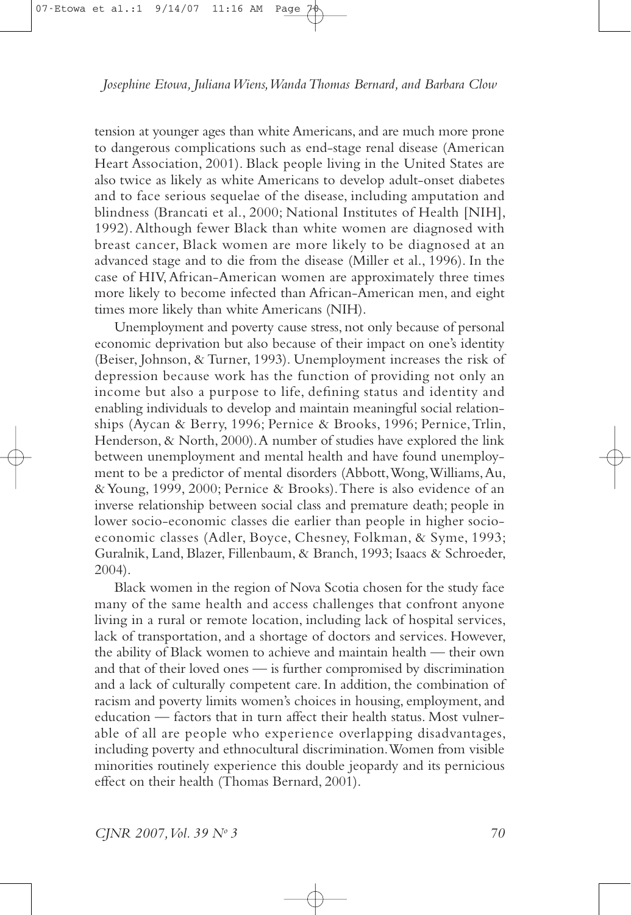tension at younger ages than white Americans, and are much more prone to dangerous complications such as end-stage renal disease (American Heart Association, 2001). Black people living in the United States are also twice as likely as white Americans to develop adult-onset diabetes and to face serious sequelae of the disease, including amputation and blindness (Brancati et al., 2000; National Institutes of Health [NIH], 1992). Although fewer Black than white women are diagnosed with breast cancer, Black women are more likely to be diagnosed at an advanced stage and to die from the disease (Miller et al., 1996). In the case of HIV, African-American women are approximately three times more likely to become infected than African-American men, and eight times more likely than white Americans (NIH).

Unemployment and poverty cause stress, not only because of personal economic deprivation but also because of their impact on one's identity (Beiser, Johnson, & Turner, 1993). Unemployment increases the risk of depression because work has the function of providing not only an income but also a purpose to life, defining status and identity and enabling individuals to develop and maintain meaningful social relationships (Aycan & Berry, 1996; Pernice & Brooks, 1996; Pernice, Trlin, Henderson, & North, 2000). A number of studies have explored the link between unemployment and mental health and have found unemployment to be a predictor of mental disorders (Abbott, Wong, Williams, Au, & Young, 1999, 2000; Pernice & Brooks). There is also evidence of an inverse relationship between social class and premature death; people in lower socio-economic classes die earlier than people in higher socioeconomic classes (Adler, Boyce, Chesney, Folkman, & Syme, 1993; Guralnik, Land, Blazer, Fillenbaum, & Branch, 1993; Isaacs & Schroeder,  $2004$ ).

Black women in the region of Nova Scotia chosen for the study face many of the same health and access challenges that confront anyone living in a rural or remote location, including lack of hospital services, lack of transportation, and a shortage of doctors and services. However, the ability of Black women to achieve and maintain health - their own and that of their loved ones - is further compromised by discrimination and a lack of culturally competent care. In addition, the combination of racism and poverty limits women's choices in housing, employment, and education - factors that in turn affect their health status. Most vulnerable of all are people who experience overlapping disadvantages, including poverty and ethnocultural discrimination. Women from visible minorities routinely experience this double jeopardy and its pernicious effect on their health (Thomas Bernard, 2001).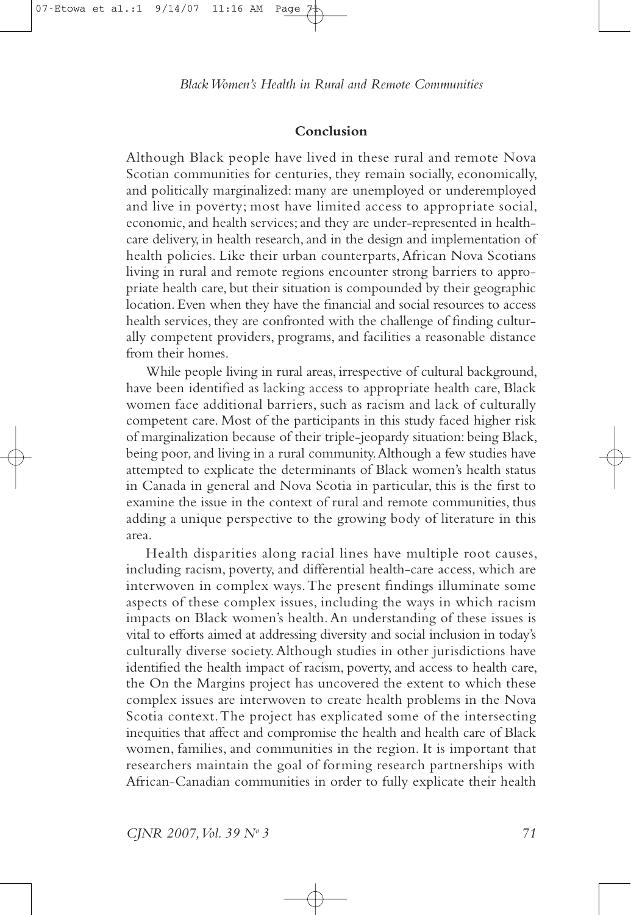#### Conclusion

Although Black people have lived in these rural and remote Nova Scotian communities for centuries, they remain socially, economically, and politically marginalized: many are unemployed or underemployed and live in poverty; most have limited access to appropriate social, economic, and health services; and they are under-represented in healthcare delivery, in health research, and in the design and implementation of health policies. Like their urban counterparts, African Nova Scotians living in rural and remote regions encounter strong barriers to appropriate health care, but their situation is compounded by their geographic location. Even when they have the financial and social resources to access health services, they are confronted with the challenge of finding culturally competent providers, programs, and facilities a reasonable distance from their homes.

While people living in rural areas, irrespective of cultural background, have been identified as lacking access to appropriate health care, Black women face additional barriers, such as racism and lack of culturally competent care. Most of the participants in this study faced higher risk of marginalization because of their triple-jeopardy situation: being Black, being poor, and living in a rural community. Although a few studies have attempted to explicate the determinants of Black women's health status in Canada in general and Nova Scotia in particular, this is the first to examine the issue in the context of rural and remote communities, thus adding a unique perspective to the growing body of literature in this area.

Health disparities along racial lines have multiple root causes, including racism, poverty, and differential health-care access, which are interwoven in complex ways. The present findings illuminate some aspects of these complex issues, including the ways in which racism impacts on Black women's health. An understanding of these issues is vital to efforts aimed at addressing diversity and social inclusion in today's culturally diverse society. Although studies in other jurisdictions have identified the health impact of racism, poverty, and access to health care, the On the Margins project has uncovered the extent to which these complex issues are interwoven to create health problems in the Nova Scotia context. The project has explicated some of the intersecting inequities that affect and compromise the health and health care of Black women, families, and communities in the region. It is important that researchers maintain the goal of forming research partnerships with African-Canadian communities in order to fully explicate their health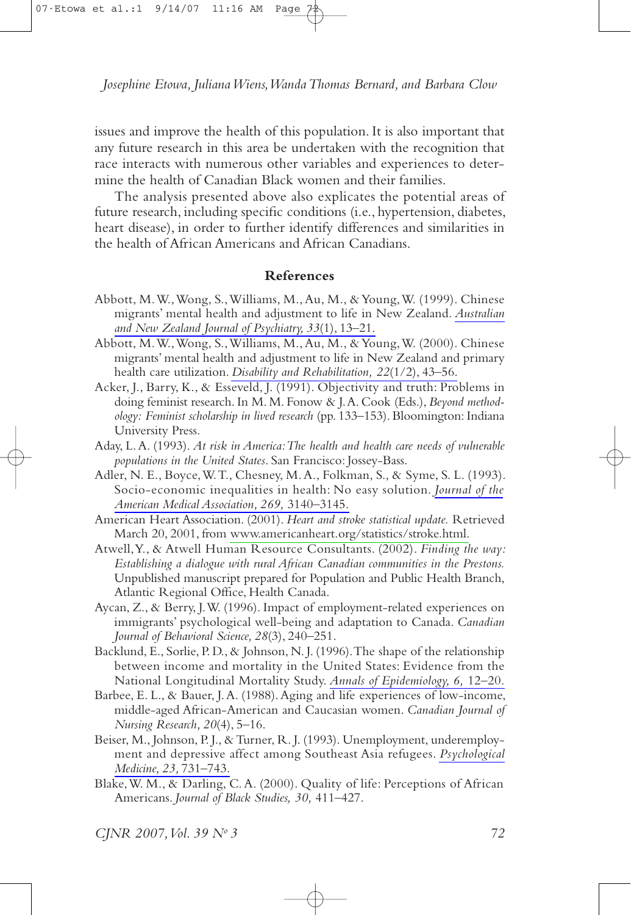issues and improve the health of this population. It is also important that any future research in this area be undertaken with the recognition that race interacts with numerous other variables and experiences to determine the health of Canadian Black women and their families.

The analysis presented above also explicates the potential areas of future research, including specific conditions (i.e., hypertension, diabetes, heart disease), in order to further identify differences and similarities in the health of African Americans and African Canadians

#### **References**

- Abbott, M. W., Wong, S., Williams, M., Au, M., & Young, W. (1999). Chinese migrants' mental health and adjustment to life in New Zealand. Australian and New Zealand Journal of Psychiatry, 33(1), 13-21.
- Abbott, M. W., Wong, S., Williams, M., Au, M., & Young, W. (2000). Chinese migrants' mental health and adjustment to life in New Zealand and primary health care utilization. Disability and Rehabilitation, 22(1/2), 43-56.
- Acker, J., Barry, K., & Esseveld, J. (1991). Objectivity and truth: Problems in doing feminist research. In M. M. Fonow & J.A. Cook (Eds.), Beyond methodology: Feminist scholarship in lived research (pp. 133-153). Bloomington: Indiana University Press.
- Aday, L. A. (1993). At risk in America: The health and health care needs of vulnerable populations in the United States. San Francisco: Jossey-Bass.
- Adler, N. E., Boyce, W. T., Chesney, M. A., Folkman, S., & Syme, S. L. (1993). Socio-economic inequalities in health: No easy solution. Journal of the American Medical Association, 269, 3140-3145.
- American Heart Association. (2001). Heart and stroke statistical update. Retrieved March 20, 2001, from www.americanheart.org/statistics/stroke.html.
- Atwell, Y., & Atwell Human Resource Consultants. (2002). Finding the way: Establishing a dialogue with rural African Canadian communities in the Prestons. Unpublished manuscript prepared for Population and Public Health Branch, Atlantic Regional Office, Health Canada.
- Aycan, Z., & Berry, J.W. (1996). Impact of employment-related experiences on immigrants' psychological well-being and adaptation to Canada. Canadian Journal of Behavioral Science, 28(3), 240-251.
- Backlund, E., Sorlie, P. D., & Johnson, N. J. (1996). The shape of the relationship between income and mortality in the United States: Evidence from the National Longitudinal Mortality Study. Annals of Epidemiology, 6, 12-20.
- Barbee, E. L., & Bauer, J. A. (1988). Aging and life experiences of low-income, middle-aged African-American and Caucasian women. Canadian Journal of Nursing Research, 20(4), 5-16.
- Beiser, M., Johnson, P.J., & Turner, R.J. (1993). Unemployment, underemployment and depressive affect among Southeast Asia refugees. Psychological Medicine, 23, 731-743.
- Blake, W. M., & Darling, C. A. (2000). Quality of life: Perceptions of African Americans. Journal of Black Studies, 30, 411-427.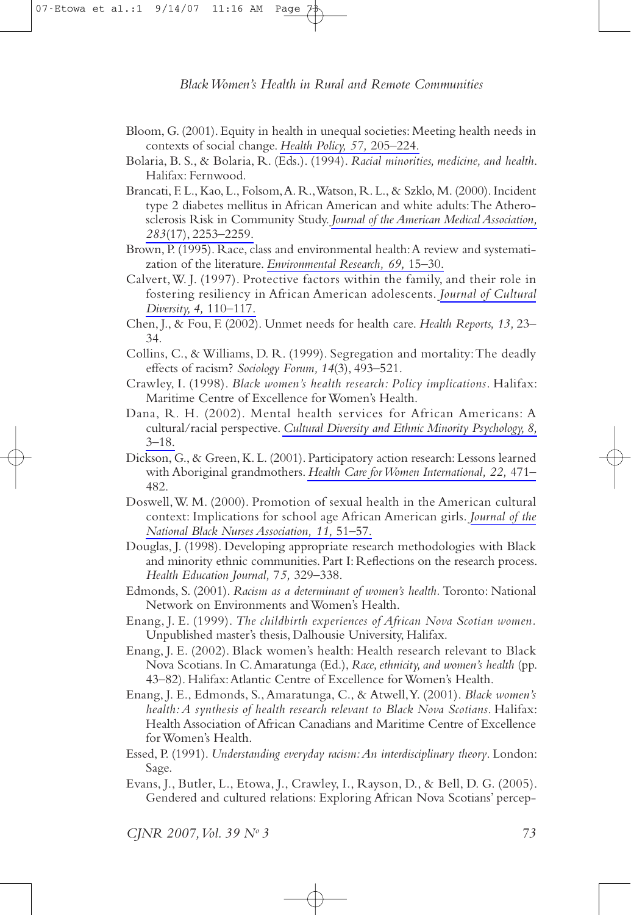- Bloom, G. (2001). Equity in health in unequal societies: Meeting health needs in contexts of social change. Health Policy, 57, 205-224.
- Bolaria, B. S., & Bolaria, R. (Eds.). (1994). Racial minorities, medicine, and health. Halifax: Fernwood.
- Brancati, F. L., Kao, L., Folsom, A. R., Watson, R. L., & Szklo, M. (2000). Incident type 2 diabetes mellitus in African American and white adults: The Atherosclerosis Risk in Community Study. Journal of the American Medical Association, 283(17), 2253-2259.
- Brown, P. (1995). Race, class and environmental health: A review and systematization of the literature. Environmental Research, 69, 15-30.
- Calvert, W. J. (1997). Protective factors within the family, and their role in fostering resiliency in African American adolescents. Journal of Cultural Diversity, 4, 110-117.
- Chen, J., & Fou, F. (2002). Unmet needs for health care. Health Reports, 13, 23-34.
- Collins, C., & Williams, D. R. (1999). Segregation and mortality: The deadly effects of racism? Sociology Forum, 14(3), 493-521.
- Crawley, I. (1998). Black women's health research: Policy implications. Halifax: Maritime Centre of Excellence for Women's Health.
- Dana, R. H. (2002). Mental health services for African Americans: A cultural/racial perspective. Cultural Diversity and Ethnic Minority Psychology, 8,  $3 - 18$ .
- Dickson, G., & Green, K. L. (2001). Participatory action research: Lessons learned with Aboriginal grandmothers. Health Care for Women International, 22, 471-482.
- Doswell, W. M. (2000). Promotion of sexual health in the American cultural context: Implications for school age African American girls. Journal of the National Black Nurses Association, 11, 51-57.
- Douglas, J. (1998). Developing appropriate research methodologies with Black and minority ethnic communities. Part I: Reflections on the research process. Health Education Journal, 75, 329-338.
- Edmonds, S. (2001). Racism as a determinant of women's health. Toronto: National Network on Environments and Women's Health.
- Enang, J. E. (1999). The childbirth experiences of African Nova Scotian women. Unpublished master's thesis, Dalhousie University, Halifax.
- Enang, J. E. (2002). Black women's health: Health research relevant to Black Nova Scotians. In C. Amaratunga (Ed.), Race, ethnicity, and women's health (pp. 43-82). Halifax: Atlantic Centre of Excellence for Women's Health.
- Enang, J. E., Edmonds, S., Amaratunga, C., & Atwell, Y. (2001). Black women's health: A synthesis of health research relevant to Black Nova Scotians. Halifax: Health Association of African Canadians and Maritime Centre of Excellence for Women's Health.
- Essed, P. (1991). Understanding everyday racism: An interdisciplinary theory. London: Sage.
- Evans, J., Butler, L., Etowa, J., Crawley, I., Rayson, D., & Bell, D. G. (2005). Gendered and cultured relations: Exploring African Nova Scotians' percep-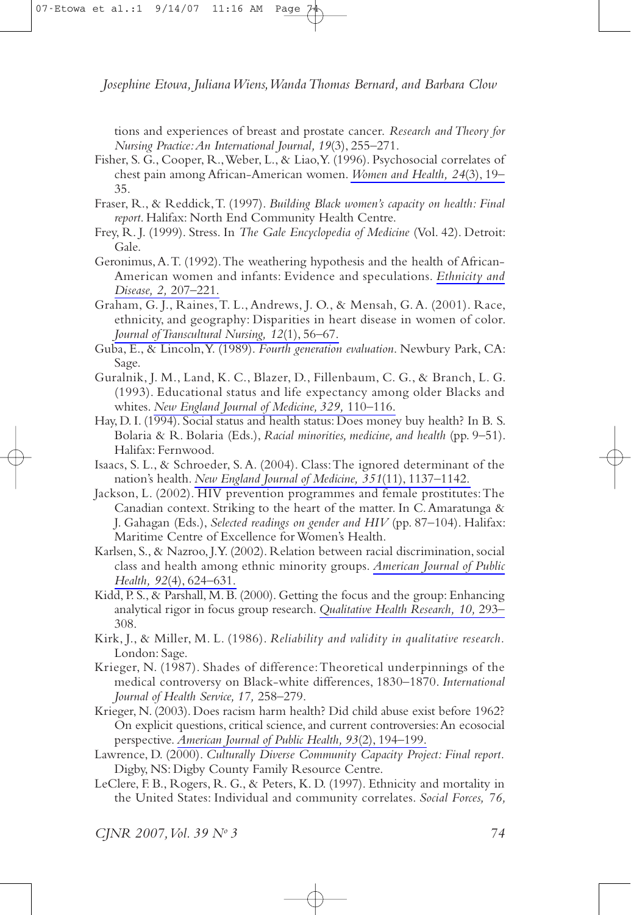tions and experiences of breast and prostate cancer. Research and Theory for Nursing Practice: An International Journal, 19(3), 255-271.

- Fisher, S. G., Cooper, R., Weber, L., & Liao, Y. (1996). Psychosocial correlates of chest pain among African-American women. Women and Health, 24(3), 19– 35.
- Fraser, R., & Reddick, T. (1997). Building Black women's capacity on health: Final report. Halifax: North End Community Health Centre.
- Frey, R. J. (1999). Stress. In The Gale Encyclopedia of Medicine (Vol. 42). Detroit: Gale.
- Geronimus, A.T. (1992). The weathering hypothesis and the health of African-American women and infants: Evidence and speculations. Ethnicity and Disease, 2, 207-221.
- Graham, G. J., Raines, T. L., Andrews, J. O., & Mensah, G. A. (2001). Race, ethnicity, and geography: Disparities in heart disease in women of color. Journal of Transcultural Nursing, 12(1), 56-67.
- Guba, E., & Lincoln, Y. (1989). Fourth generation evaluation. Newbury Park, CA: Sage.
- Guralnik, J. M., Land, K. C., Blazer, D., Fillenbaum, C. G., & Branch, L. G. (1993). Educational status and life expectancy among older Blacks and whites. New England Journal of Medicine, 329, 110-116.
- Hay, D. I. (1994). Social status and health status: Does money buy health? In B. S. Bolaria & R. Bolaria (Eds.), Racial minorities, medicine, and health (pp. 9–51). Halifax: Fernwood.
- Isaacs, S. L., & Schroeder, S. A. (2004). Class: The ignored determinant of the nation's health. New England Journal of Medicine, 351(11), 1137-1142.
- Jackson, L. (2002). HIV prevention programmes and female prostitutes: The Canadian context. Striking to the heart of the matter. In C. Amaratunga & J. Gahagan (Eds.), Selected readings on gender and HIV (pp. 87-104). Halifax: Maritime Centre of Excellence for Women's Health.
- Karlsen, S., & Nazroo, J.Y. (2002). Relation between racial discrimination, social class and health among ethnic minority groups. American Journal of Public Health, 92(4), 624–631.
- Kidd, P.S., & Parshall, M.B. (2000). Getting the focus and the group: Enhancing analytical rigor in focus group research. Qualitative Health Research, 10, 293-308.
- Kirk, J., & Miller, M. L. (1986). Reliability and validity in qualitative research. London: Sage.
- Krieger, N. (1987). Shades of difference: Theoretical underpinnings of the medical controversy on Black-white differences, 1830–1870. International Journal of Health Service, 17, 258-279.
- Krieger, N. (2003). Does racism harm health? Did child abuse exist before 1962? On explicit questions, critical science, and current controversies: An ecosocial perspective. American Journal of Public Health, 93(2), 194-199.
- Lawrence, D. (2000). Culturally Diverse Community Capacity Project: Final report. Digby, NS: Digby County Family Resource Centre.
- LeClere, F. B., Rogers, R. G., & Peters, K. D. (1997). Ethnicity and mortality in the United States: Individual and community correlates. Social Forces, 76,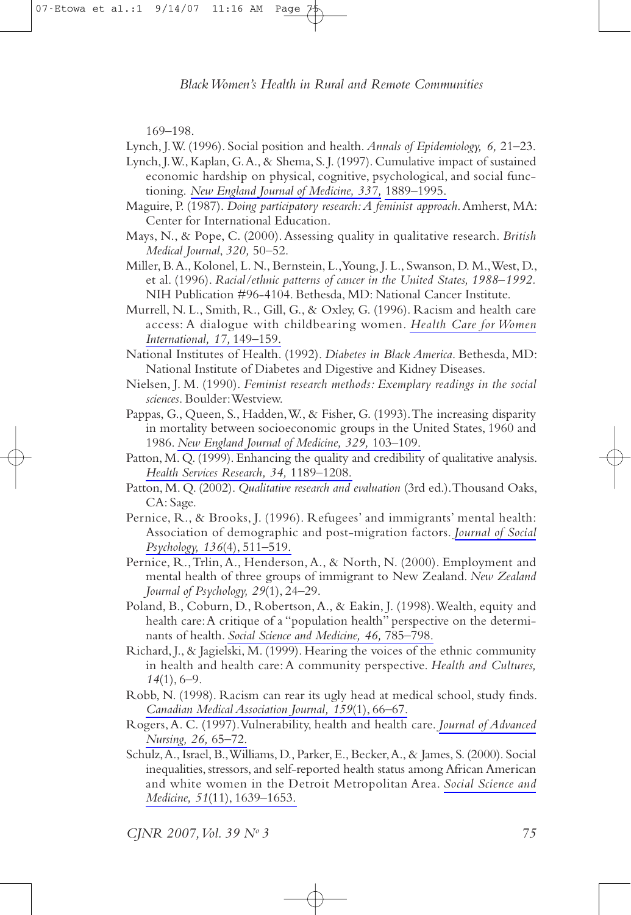169-198

Lynch, J.W. (1996). Social position and health. Annals of Epidemiology, 6, 21–23.

- Lynch, J.W., Kaplan, G.A., & Shema, S.J. (1997). Cumulative impact of sustained economic hardship on physical, cognitive, psychological, and social functioning. New England Journal of Medicine, 337, 1889-1995.
- Maguire, P. (1987). Doing participatory research: A feminist approach. Amherst, MA: Center for International Education.
- Mays, N., & Pope, C. (2000). Assessing quality in qualitative research. British Medical Journal, 320, 50-52.
- Miller, B.A., Kolonel, L.N., Bernstein, L., Young, J.L., Swanson, D.M., West, D., et al. (1996). Racial/ethnic patterns of cancer in the United States, 1988-1992. NIH Publication #96-4104. Bethesda, MD: National Cancer Institute.
- Murrell, N. L., Smith, R., Gill, G., & Oxley, G. (1996). Racism and health care access: A dialogue with childbearing women. Health Care for Women International, 17, 149-159.
- National Institutes of Health. (1992). Diabetes in Black America. Bethesda, MD: National Institute of Diabetes and Digestive and Kidney Diseases.
- Nielsen, J. M. (1990). Feminist research methods: Exemplary readings in the social sciences. Boulder: Westview.
- Pappas, G., Queen, S., Hadden, W., & Fisher, G. (1993). The increasing disparity in mortality between socioeconomic groups in the United States, 1960 and 1986. New England Journal of Medicine, 329, 103-109.
- Patton, M. Q. (1999). Enhancing the quality and credibility of qualitative analysis. Health Services Research, 34, 1189-1208.
- Patton, M. Q. (2002). Qualitative research and evaluation (3rd ed.). Thousand Oaks, CA: Sage.
- Pernice, R., & Brooks, J. (1996). Refugees' and immigrants' mental health: Association of demographic and post-migration factors. Journal of Social Psychology, 136(4), 511-519.
- Pernice, R., Trlin, A., Henderson, A., & North, N. (2000). Employment and mental health of three groups of immigrant to New Zealand. New Zealand Journal of Psychology, 29(1), 24-29.
- Poland, B., Coburn, D., Robertson, A., & Eakin, J. (1998). Wealth, equity and health care: A critique of a "population health" perspective on the determinants of health. Social Science and Medicine, 46, 785-798.
- Richard, J., & Jagielski, M. (1999). Hearing the voices of the ethnic community in health and health care: A community perspective. Health and Cultures,  $14(1), 6-9.$
- Robb, N. (1998). Racism can rear its ugly head at medical school, study finds. Canadian Medical Association Journal, 159(1), 66-67.
- Rogers, A. C. (1997). Vulnerability, health and health care. Journal of Advanced Nursing, 26, 65-72.
- Schulz, A., Israel, B., Williams, D., Parker, E., Becker, A., & James, S. (2000). Social inequalities, stressors, and self-reported health status among African American and white women in the Detroit Metropolitan Area. Social Science and Medicine, 51(11), 1639-1653.